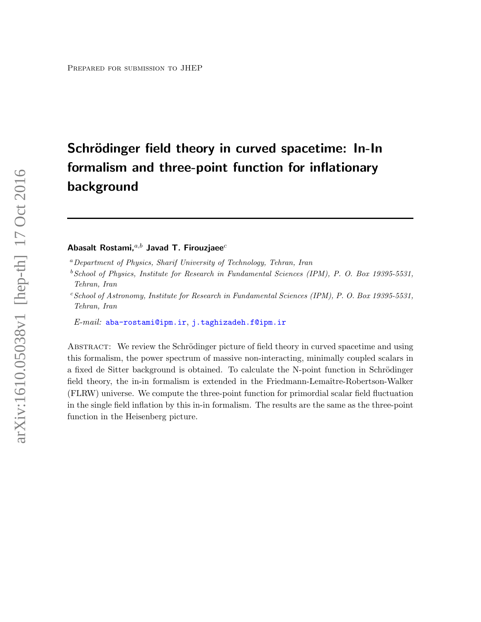# Schrödinger field theory in curved spacetime: In-In formalism and three-point function for inflationary background

# Abasalt Rostami, $a,b$  Javad T. Firouzjaee $c$

 $b$ School of Physics, Institute for Research in Fundamental Sciences (IPM), P. O. Box 19395-5531, Tehran, Iran

 $c$ School of Astronomy, Institute for Research in Fundamental Sciences (IPM), P. O. Box 19395-5531, Tehran, Iran

 $E\text{-}mail:$  [aba-rostami@ipm.ir](mailto:aba-rostami@ipm.ir), [j.taghizadeh.f@ipm.ir](mailto:j.taghizadeh.f@ipm.ir)

ABSTRACT: We review the Schrödinger picture of field theory in curved spacetime and using this formalism, the power spectrum of massive non-interacting, minimally coupled scalars in a fixed de Sitter background is obtained. To calculate the N-point function in Schrödinger field theory, the in-in formalism is extended in the Friedmann-Lemaître-Robertson-Walker (FLRW) universe. We compute the three-point function for primordial scalar field fluctuation in the single field inflation by this in-in formalism. The results are the same as the three-point function in the Heisenberg picture.

<sup>a</sup>Department of Physics, Sharif University of Technology, Tehran, Iran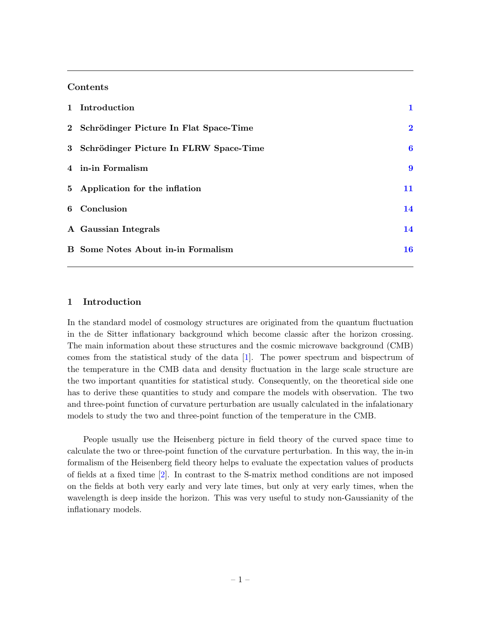## Contents

| 1 Introduction                            |                  |
|-------------------------------------------|------------------|
| 2 Schrödinger Picture In Flat Space-Time  | $\bf{2}$         |
| 3 Schrödinger Picture In FLRW Space-Time  | $\boldsymbol{6}$ |
| 4 in-in Formalism                         | 9                |
| 5 Application for the inflation           | 11               |
| 6 Conclusion                              | 14               |
| A Gaussian Integrals                      | 14               |
| <b>B</b> Some Notes About in-in Formalism | 16               |

# <span id="page-1-0"></span>1 Introduction

In the standard model of cosmology structures are originated from the quantum fluctuation in the de Sitter inflationary background which become classic after the horizon crossing. The main information about these structures and the cosmic microwave background (CMB) comes from the statistical study of the data [\[1\]](#page-19-0). The power spectrum and bispectrum of the temperature in the CMB data and density fluctuation in the large scale structure are the two important quantities for statistical study. Consequently, on the theoretical side one has to derive these quantities to study and compare the models with observation. The two and three-point function of curvature perturbation are usually calculated in the infalationary models to study the two and three-point function of the temperature in the CMB.

People usually use the Heisenberg picture in field theory of the curved space time to calculate the two or three-point function of the curvature perturbation. In this way, the in-in formalism of the Heisenberg field theory helps to evaluate the expectation values of products of fields at a fixed time [\[2\]](#page-19-1). In contrast to the S-matrix method conditions are not imposed on the fields at both very early and very late times, but only at very early times, when the wavelength is deep inside the horizon. This was very useful to study non-Gaussianity of the inflationary models.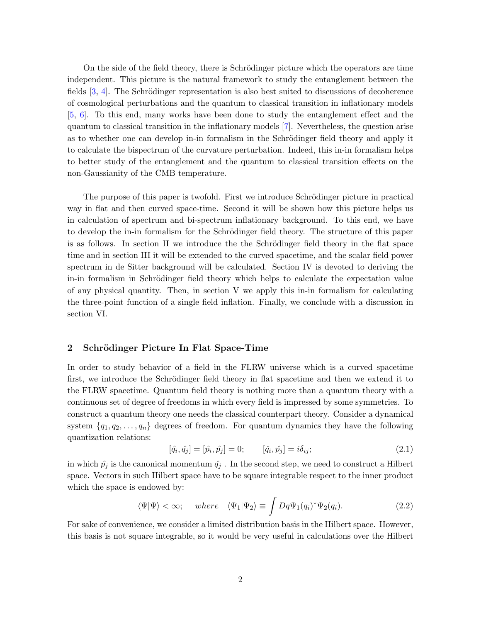On the side of the field theory, there is Schrödinger picture which the operators are time independent. This picture is the natural framework to study the entanglement between the fields  $[3, 4]$  $[3, 4]$  $[3, 4]$ . The Schrödinger representation is also best suited to discussions of decoherence of cosmological perturbations and the quantum to classical transition in inflationary models [\[5,](#page-19-4) [6\]](#page-19-5). To this end, many works have been done to study the entanglement effect and the quantum to classical transition in the inflationary models [\[7\]](#page-19-6). Nevertheless, the question arise as to whether one can develop in-in formalism in the Schrödinger field theory and apply it to calculate the bispectrum of the curvature perturbation. Indeed, this in-in formalism helps to better study of the entanglement and the quantum to classical transition effects on the non-Gaussianity of the CMB temperature.

The purpose of this paper is twofold. First we introduce Schrödinger picture in practical way in flat and then curved space-time. Second it will be shown how this picture helps us in calculation of spectrum and bi-spectrum inflationary background. To this end, we have to develop the in-in formalism for the Schrödinger field theory. The structure of this paper is as follows. In section II we introduce the the Schrödinger field theory in the flat space time and in section III it will be extended to the curved spacetime, and the scalar field power spectrum in de Sitter background will be calculated. Section IV is devoted to deriving the in-in formalism in Schrödinger field theory which helps to calculate the expectation value of any physical quantity. Then, in section V we apply this in-in formalism for calculating the three-point function of a single field inflation. Finally, we conclude with a discussion in section VI.

# <span id="page-2-0"></span>2 Schrödinger Picture In Flat Space-Time

In order to study behavior of a field in the FLRW universe which is a curved spacetime first, we introduce the Schrödinger field theory in flat spacetime and then we extend it to the FLRW spacetime. Quantum field theory is nothing more than a quantum theory with a continuous set of degree of freedoms in which every field is impressed by some symmetries. To construct a quantum theory one needs the classical counterpart theory. Consider a dynamical system  $\{q_1, q_2, \ldots, q_n\}$  degrees of freedom. For quantum dynamics they have the following quantization relations:

$$
[\hat{q}_i, \hat{q}_j] = [\hat{p}_i, \hat{p}_j] = 0; \qquad [\hat{q}_i, \hat{p}_j] = i\delta_{ij}; \qquad (2.1)
$$

in which  $\hat{p}_j$  is the canonical momentum  $\hat{q}_j$ . In the second step, we need to construct a Hilbert space. Vectors in such Hilbert space have to be square integrable respect to the inner product which the space is endowed by:

$$
\langle \Psi | \Psi \rangle < \infty; \quad \text{where} \quad \langle \Psi_1 | \Psi_2 \rangle \equiv \int Dq \Psi_1(q_i)^* \Psi_2(q_i). \tag{2.2}
$$

For sake of convenience, we consider a limited distribution basis in the Hilbert space. However, this basis is not square integrable, so it would be very useful in calculations over the Hilbert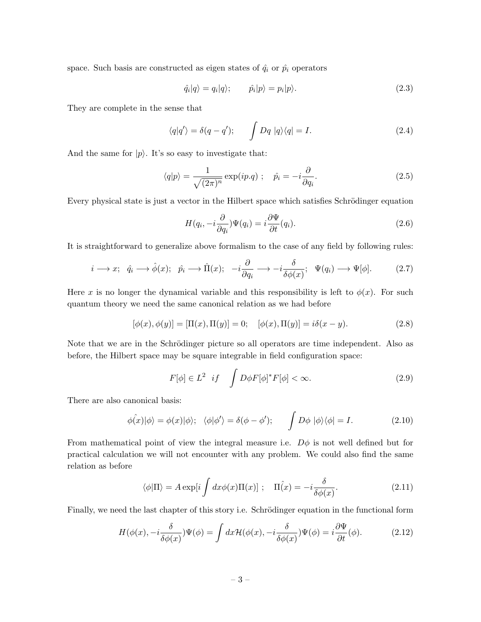space. Such basis are constructed as eigen states of  $\hat{q}_i$  or  $\hat{p}_i$  operators

$$
\hat{q}_i|q\rangle = q_i|q\rangle; \qquad \hat{p}_i|p\rangle = p_i|p\rangle. \tag{2.3}
$$

They are complete in the sense that

$$
\langle q|q'\rangle = \delta(q - q'); \qquad \int Dq \, |q\rangle\langle q| = I. \tag{2.4}
$$

And the same for  $|p\rangle$ . It's so easy to investigate that:

$$
\langle q|p\rangle = \frac{1}{\sqrt{(2\pi)^n}} \exp(ip.q) \; ; \quad \hat{p_i} = -i\frac{\partial}{\partial q_i}.\tag{2.5}
$$

Every physical state is just a vector in the Hilbert space which satisfies Schrödinger equation

$$
H(q_i, -i\frac{\partial}{\partial q_i})\Psi(q_i) = i\frac{\partial \Psi}{\partial t}(q_i).
$$
\n(2.6)

It is straightforward to generalize above formalism to the case of any field by following rules:

$$
i \longrightarrow x; \quad \hat{q}_i \longrightarrow \hat{\phi}(x); \quad \hat{p}_i \longrightarrow \hat{\Pi}(x); \quad -i\frac{\partial}{\partial q_i} \longrightarrow -i\frac{\delta}{\delta\phi(x)}; \quad \Psi(q_i) \longrightarrow \Psi[\phi]. \tag{2.7}
$$

Here x is no longer the dynamical variable and this responsibility is left to  $\phi(x)$ . For such quantum theory we need the same canonical relation as we had before

$$
[\phi(x), \phi(y)] = [\Pi(x), \Pi(y)] = 0; \quad [\phi(x), \Pi(y)] = i\delta(x - y).
$$
 (2.8)

Note that we are in the Schrödinger picture so all operators are time independent. Also as before, the Hilbert space may be square integrable in field configuration space:

$$
F[\phi] \in L^2 \quad if \quad \int D\phi F[\phi]^* F[\phi] < \infty. \tag{2.9}
$$

There are also canonical basis:

$$
\hat{\phi(x)}|\phi\rangle = \phi(x)|\phi\rangle; \quad \langle \phi|\phi'\rangle = \delta(\phi - \phi'); \qquad \int D\phi \, |\phi\rangle \langle \phi| = I. \tag{2.10}
$$

From mathematical point of view the integral measure i.e.  $D\phi$  is not well defined but for practical calculation we will not encounter with any problem. We could also find the same relation as before

$$
\langle \phi | \Pi \rangle = A \exp[i \int dx \phi(x) \Pi(x)] ; \quad \Pi(\hat{x}) = -i \frac{\delta}{\delta \phi(x)}.
$$
 (2.11)

Finally, we need the last chapter of this story i.e. Schrödinger equation in the functional form

$$
H(\phi(x), -i\frac{\delta}{\delta\phi(x)})\Psi(\phi) = \int dx \mathcal{H}(\phi(x), -i\frac{\delta}{\delta\phi(x)})\Psi(\phi) = i\frac{\partial\Psi}{\partial t}(\phi).
$$
 (2.12)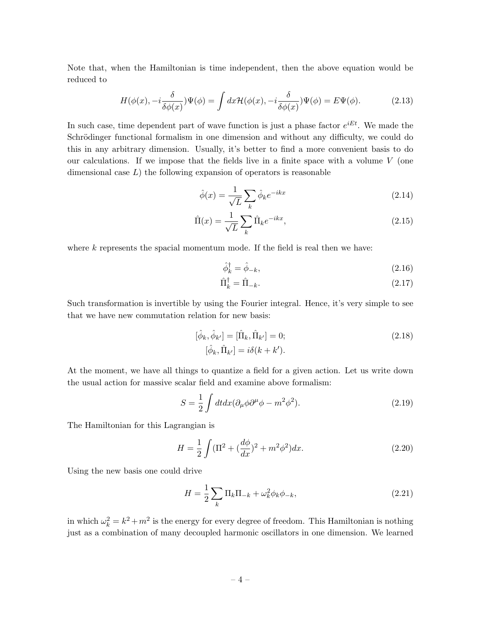Note that, when the Hamiltonian is time independent, then the above equation would be reduced to

<span id="page-4-1"></span>
$$
H(\phi(x), -i\frac{\delta}{\delta\phi(x)})\Psi(\phi) = \int dx \mathcal{H}(\phi(x), -i\frac{\delta}{\delta\phi(x)})\Psi(\phi) = E\Psi(\phi).
$$
 (2.13)

In such case, time dependent part of wave function is just a phase factor  $e^{iEt}$ . We made the Schrödinger functional formalism in one dimension and without any difficulty, we could do this in any arbitrary dimension. Usually, it's better to find a more convenient basis to do our calculations. If we impose that the fields live in a finite space with a volume  $V$  (one dimensional case  $L$ ) the following expansion of operators is reasonable

$$
\hat{\phi}(x) = \frac{1}{\sqrt{L}} \sum_{k} \hat{\phi}_k e^{-ikx}
$$
\n(2.14)

$$
\hat{\Pi}(x) = \frac{1}{\sqrt{L}} \sum_{k} \hat{\Pi}_k e^{-ikx},\tag{2.15}
$$

where  $k$  represents the spacial momentum mode. If the field is real then we have:

$$
\hat{\phi}_k^{\dagger} = \hat{\phi}_{-k},\tag{2.16}
$$

<span id="page-4-0"></span>
$$
\hat{\Pi}_k^{\dagger} = \hat{\Pi}_{-k}.\tag{2.17}
$$

Such transformation is invertible by using the Fourier integral. Hence, it's very simple to see that we have new commutation relation for new basis:

$$
[\hat{\phi}_k, \hat{\phi}_{k'}] = [\hat{\Pi}_k, \hat{\Pi}_{k'}] = 0; [\hat{\phi}_k, \hat{\Pi}_{k'}] = i\delta(k + k').
$$
\n(2.18)

At the moment, we have all things to quantize a field for a given action. Let us write down the usual action for massive scalar field and examine above formalism:

$$
S = \frac{1}{2} \int dt dx (\partial_{\mu} \phi \partial^{\mu} \phi - m^2 \phi^2).
$$
 (2.19)

The Hamiltonian for this Lagrangian is

$$
H = \frac{1}{2} \int (\Pi^2 + (\frac{d\phi}{dx})^2 + m^2 \phi^2) dx.
$$
 (2.20)

Using the new basis one could drive

$$
H = \frac{1}{2} \sum_{k} \Pi_{k} \Pi_{-k} + \omega_{k}^{2} \phi_{k} \phi_{-k},
$$
\n(2.21)

in which  $\omega_k^2 = k^2 + m^2$  is the energy for every degree of freedom. This Hamiltonian is nothing just as a combination of many decoupled harmonic oscillators in one dimension. We learned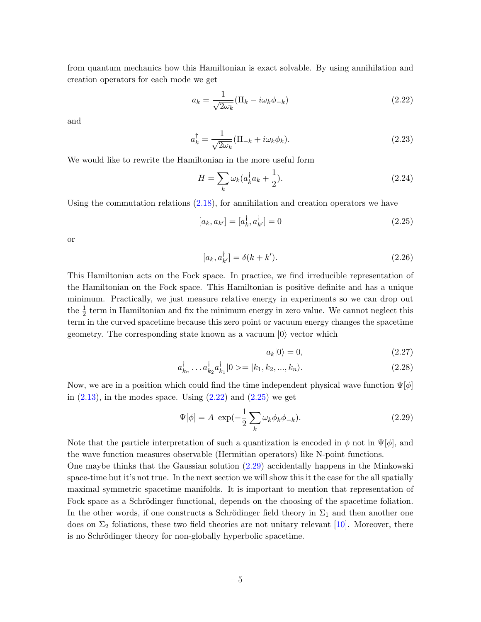from quantum mechanics how this Hamiltonian is exact solvable. By using annihilation and creation operators for each mode we get

<span id="page-5-0"></span>
$$
a_k = \frac{1}{\sqrt{2\omega_k}} (\Pi_k - i\omega_k \phi_{-k})
$$
\n(2.22)

and

$$
a_k^{\dagger} = \frac{1}{\sqrt{2\omega_k}} (\Pi_{-k} + i\omega_k \phi_k). \tag{2.23}
$$

We would like to rewrite the Hamiltonian in the more useful form

$$
H = \sum_{k} \omega_k (a_k^{\dagger} a_k + \frac{1}{2}).
$$
\n(2.24)

Using the commutation relations  $(2.18)$ , for annihilation and creation operators we have

$$
[a_k, a_{k'}] = [a_k^{\dagger}, a_{k'}^{\dagger}] = 0 \tag{2.25}
$$

or

$$
[a_k, a_{k'}^\dagger] = \delta(k + k'). \tag{2.26}
$$

This Hamiltonian acts on the Fock space. In practice, we find irreducible representation of the Hamiltonian on the Fock space. This Hamiltonian is positive definite and has a unique minimum. Practically, we just measure relative energy in experiments so we can drop out the  $\frac{1}{2}$  term in Hamiltonian and fix the minimum energy in zero value. We cannot neglect this term in the curved spacetime because this zero point or vacuum energy changes the spacetime geometry. The corresponding state known as a vacuum  $|0\rangle$  vector which

<span id="page-5-2"></span><span id="page-5-1"></span>
$$
a_k|0\rangle = 0,\t\t(2.27)
$$

$$
a_{k_n}^{\dagger} \dots a_{k_2}^{\dagger} a_{k_1}^{\dagger} |0 \rangle = |k_1, k_2, \dots, k_n\rangle.
$$
 (2.28)

Now, we are in a position which could find the time independent physical wave function  $\Psi[\phi]$ in  $(2.13)$ , in the modes space. Using  $(2.22)$  and  $(2.25)$  we get

$$
\Psi[\phi] = A \exp(-\frac{1}{2} \sum_{k} \omega_k \phi_k \phi_{-k}).
$$
\n(2.29)

Note that the particle interpretation of such a quantization is encoded in  $\phi$  not in  $\Psi[\phi]$ , and the wave function measures observable (Hermitian operators) like N-point functions.

One maybe thinks that the Gaussian solution [\(2.29\)](#page-5-2) accidentally happens in the Minkowski space-time but it's not true. In the next section we will show this it the case for the all spatially maximal symmetric spacetime manifolds. It is important to mention that representation of Fock space as a Schrödinger functional, depends on the choosing of the spacetime foliation. In the other words, if one constructs a Schrödinger field theory in  $\Sigma_1$  and then another one does on  $\Sigma_2$  foliations, these two field theories are not unitary relevant [\[10\]](#page-19-7). Moreover, there is no Schrödinger theory for non-globally hyperbolic spacetime.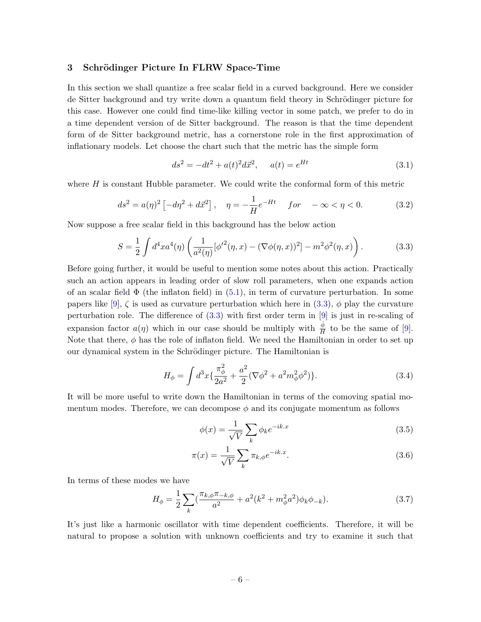#### <span id="page-6-0"></span>3 Schrödinger Picture In FLRW Space-Time

In this section we shall quantize a free scalar field in a curved background. Here we consider de Sitter background and try write down a quantum field theory in Schrödinger picture for this case. However one could find time-like killing vector in some patch, we prefer to do in a time dependent version of de Sitter background. The reason is that the time dependent form of de Sitter background metric, has a cornerstone role in the first approximation of inflationary models. Let choose the chart such that the metric has the simple form

<span id="page-6-1"></span>
$$
ds^{2} = -dt^{2} + a(t)^{2}d\vec{x}^{2}, \quad a(t) = e^{Ht}
$$
\n(3.1)

where  $H$  is constant Hubble parameter. We could write the conformal form of this metric

$$
ds^{2} = a(\eta)^{2} \left[ -d\eta^{2} + d\vec{x}^{2} \right], \quad \eta = -\frac{1}{H} e^{-Ht} \quad for \quad -\infty < \eta < 0. \tag{3.2}
$$

Now suppose a free scalar field in this background has the below action

$$
S = \frac{1}{2} \int d^4x a^4(\eta) \left( \frac{1}{a^2(\eta)} [\phi'^2(\eta, x) - (\nabla \phi(\eta, x))^2] - m^2 \phi^2(\eta, x) \right). \tag{3.3}
$$

Before going further, it would be useful to mention some notes about this action. Practically such an action appears in leading order of slow roll parameters, when one expands action of an scalar field  $\Phi$  (the inflaton field) in [\(5.1\)](#page-11-1), in term of curvature perturbation. In some papers like [\[9\]](#page-19-8),  $\zeta$  is used as curvature perturbation which here in [\(3.3\)](#page-6-1),  $\phi$  play the curvature perturbation role. The difference of [\(3.3\)](#page-6-1) with first order term in [\[9\]](#page-19-8) is just in re-scaling of expansion factor  $a(\eta)$  which in our case should be multiply with  $\frac{\phi}{H}$  to be the same of [\[9\]](#page-19-8). Note that there,  $\phi$  has the role of inflaton field. We need the Hamiltonian in order to set up our dynamical system in the Schrödinger picture. The Hamiltonian is

$$
H_{\phi} = \int d^3x \{ \frac{\pi_{\phi}^2}{2a^2} + \frac{a^2}{2} (\nabla \phi^2 + a^2 m_{\phi}^2 \phi^2) \}.
$$
 (3.4)

It will be more useful to write down the Hamiltonian in terms of the comoving spatial momentum modes. Therefore, we can decompose  $\phi$  and its conjugate momentum as follows

$$
\phi(x) = \frac{1}{\sqrt{V}} \sum_{k} \phi_k e^{-ik.x} \tag{3.5}
$$

$$
\pi(x) = \frac{1}{\sqrt{V}} \sum_{k} \pi_{k,\phi} e^{-ik.x}.
$$
\n(3.6)

In terms of these modes we have

$$
H_{\phi} = \frac{1}{2} \sum_{k} \left( \frac{\pi_{k,\phi} \pi_{-k,\phi}}{a^2} + a^2 (k^2 + m_{\phi}^2 a^2) \phi_k \phi_{-k} \right).
$$
 (3.7)

It's just like a harmonic oscillator with time dependent coefficients. Therefore, it will be natural to propose a solution with unknown coefficients and try to examine it such that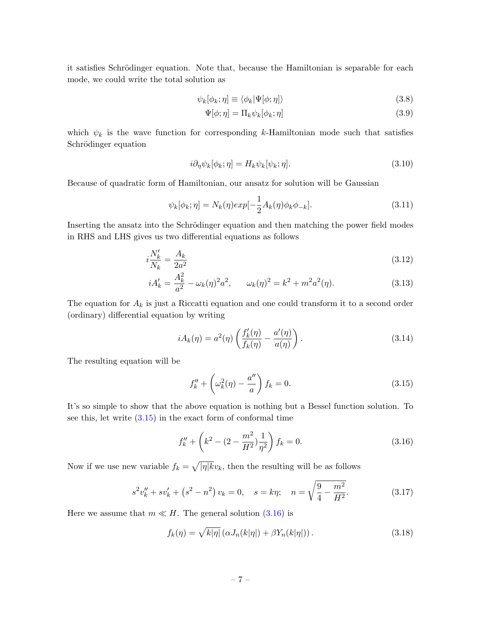it satisfies Schrödinger equation. Note that, because the Hamiltonian is separable for each mode, we could write the total solution as

$$
\psi_k[\phi_k; \eta] \equiv \langle \phi_k | \Psi[\phi; \eta] \rangle \tag{3.8}
$$

$$
\Psi[\phi; \eta] = \Pi_k \psi_k[\phi_k; \eta] \tag{3.9}
$$

which  $\psi_k$  is the wave function for corresponding k-Hamiltonian mode such that satisfies Schrödinger equation

$$
i\partial_{\eta}\psi_{k}[\phi_{k};\eta] = H_{k}\psi_{k}[\psi_{k};\eta].\tag{3.10}
$$

Because of quadratic form of Hamiltonian, our ansatz for solution will be Gaussian

$$
\psi_k[\phi_k;\eta] = N_k(\eta)exp[-\frac{1}{2}A_k(\eta)\phi_k\phi_{-k}].
$$
\n(3.11)

Inserting the ansatz into the Schrödinger equation and then matching the power field modes in RHS and LHS gives us two differential equations as follows

$$
i\frac{N_k'}{N_k} = \frac{A_k}{2a^2} \tag{3.12}
$$

$$
iA'_k = \frac{A_k^2}{a^2} - \omega_k(\eta)^2 a^2, \qquad \omega_k(\eta)^2 = k^2 + m^2 a^2(\eta). \tag{3.13}
$$

The equation for  $A_k$  is just a Riccatti equation and one could transform it to a second order (ordinary) differential equation by writing

$$
iA_k(\eta) = a^2(\eta) \left( \frac{f'_k(\eta)}{f_k(\eta)} - \frac{a'(\eta)}{a(\eta)} \right). \tag{3.14}
$$

The resulting equation will be

<span id="page-7-2"></span><span id="page-7-1"></span><span id="page-7-0"></span>
$$
f_k'' + \left(\omega_k^2(\eta) - \frac{a''}{a}\right) f_k = 0.
$$
\n(3.15)

It's so simple to show that the above equation is nothing but a Bessel function solution. To see this, let write  $(3.15)$  in the exact form of conformal time

$$
f_k'' + \left(k^2 - (2 - \frac{m^2}{H^2})\frac{1}{\eta^2}\right) f_k = 0.
$$
 (3.16)

Now if we use new variable  $f_k = \sqrt{|\eta| k}v_k$ , then the resulting will be as follows

$$
s^{2}v_{k}'' + sv_{k}' + (s^{2} - n^{2})v_{k} = 0, \quad s = k\eta; \quad n = \sqrt{\frac{9}{4} - \frac{m^{2}}{H^{2}}}.
$$
 (3.17)

Here we assume that  $m \ll H$ . The general solution [\(3.16\)](#page-7-1) is

<span id="page-7-3"></span>
$$
f_k(\eta) = \sqrt{k|\eta|} \left( \alpha J_n(k|\eta|) + \beta Y_n(k|\eta|) \right). \tag{3.18}
$$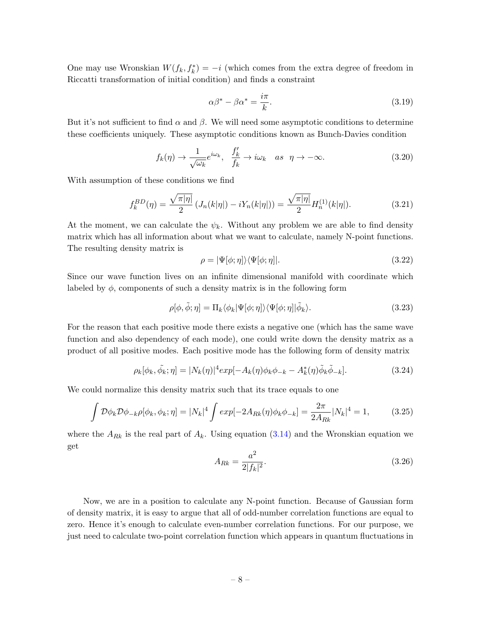One may use Wronskian  $W(f_k, f_k^*) = -i$  (which comes from the extra degree of freedom in Riccatti transformation of initial condition) and finds a constraint

$$
\alpha \beta^* - \beta \alpha^* = \frac{i\pi}{k}.\tag{3.19}
$$

But it's not sufficient to find  $\alpha$  and  $\beta$ . We will need some asymptotic conditions to determine these coefficients uniquely. These asymptotic conditions known as Bunch-Davies condition

$$
f_k(\eta) \to \frac{1}{\sqrt{\omega_k}} e^{i\omega_k}, \quad \frac{f'_k}{f_k} \to i\omega_k \quad as \quad \eta \to -\infty. \tag{3.20}
$$

With assumption of these conditions we find

$$
f_k^{BD}(\eta) = \frac{\sqrt{\pi |\eta|}}{2} \left( J_n(k|\eta|) - i Y_n(k|\eta|) \right) = \frac{\sqrt{\pi |\eta|}}{2} H_n^{(1)}(k|\eta|). \tag{3.21}
$$

At the moment, we can calculate the  $\psi_k$ . Without any problem we are able to find density matrix which has all information about what we want to calculate, namely N-point functions. The resulting density matrix is

$$
\rho = |\Psi[\phi; \eta] \rangle \langle \Psi[\phi; \eta]|. \tag{3.22}
$$

Since our wave function lives on an infinite dimensional manifold with coordinate which labeled by  $\phi$ , components of such a density matrix is in the following form

$$
\rho[\phi,\tilde{\phi};\eta] = \Pi_k \langle \phi_k | \Psi[\phi;\eta] \rangle \langle \Psi[\phi;\eta] | \tilde{\phi}_k \rangle.
$$
\n(3.23)

For the reason that each positive mode there exists a negative one (which has the same wave function and also dependency of each mode), one could write down the density matrix as a product of all positive modes. Each positive mode has the following form of density matrix

$$
\rho_k[\phi_k, \tilde{\phi}_k; \eta] = |N_k(\eta)|^4 \exp[-A_k(\eta)\phi_k \phi_{-k} - A_k^*(\eta)\tilde{\phi}_k \tilde{\phi}_{-k}]. \tag{3.24}
$$

We could normalize this density matrix such that its trace equals to one

$$
\int \mathcal{D}\phi_k \mathcal{D}\phi_{-k} \rho[\phi_k, \phi_k; \eta] = |N_k|^4 \int exp[-2A_{Rk}(\eta)\phi_k \phi_{-k}] = \frac{2\pi}{2A_{Rk}} |N_k|^4 = 1, \quad (3.25)
$$

where the  $A_{Rk}$  is the real part of  $A_k$ . Using equation [\(3.14\)](#page-7-2) and the Wronskian equation we get

$$
A_{Rk} = \frac{a^2}{2|f_k|^2}.
$$
\n(3.26)

Now, we are in a position to calculate any N-point function. Because of Gaussian form of density matrix, it is easy to argue that all of odd-number correlation functions are equal to zero. Hence it's enough to calculate even-number correlation functions. For our purpose, we just need to calculate two-point correlation function which appears in quantum fluctuations in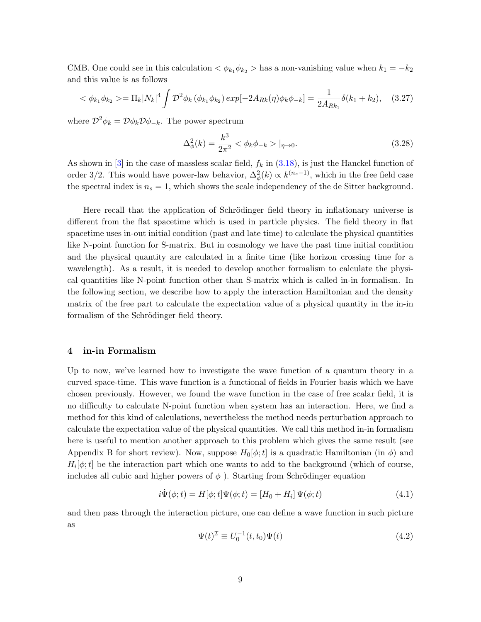CMB. One could see in this calculation  $\langle \phi_{k_1} \phi_{k_2} \rangle$  has a non-vanishing value when  $k_1 = -k_2$ and this value is as follows

$$
\langle \phi_{k_1} \phi_{k_2} \rangle = \Pi_k |N_k|^4 \int \mathcal{D}^2 \phi_k \left( \phi_{k_1} \phi_{k_2} \right) \exp[-2A_{Rk}(\eta) \phi_k \phi_{-k}] = \frac{1}{2A_{Rk_1}} \delta(k_1 + k_2), \quad (3.27)
$$

where  $\mathcal{D}^2 \phi_k = \mathcal{D} \phi_k \mathcal{D} \phi_{-k}$ . The power spectrum

$$
\Delta_{\phi}^{2}(k) = \frac{k^{3}}{2\pi^{2}} < \phi_{k}\phi_{-k} > |_{\eta \to 0}.
$$
\n(3.28)

As shown in  $[3]$  in the case of massless scalar field,  $f_k$  in  $(3.18)$ , is just the Hanckel function of order 3/2. This would have power-law behavior,  $\Delta_{\phi}^2(k) \propto k^{(n_s-1)}$ , which in the free field case the spectral index is  $n_s = 1$ , which shows the scale independency of the de Sitter background.

Here recall that the application of Schrödinger field theory in inflationary universe is different from the flat spacetime which is used in particle physics. The field theory in flat spacetime uses in-out initial condition (past and late time) to calculate the physical quantities like N-point function for S-matrix. But in cosmology we have the past time initial condition and the physical quantity are calculated in a finite time (like horizon crossing time for a wavelength). As a result, it is needed to develop another formalism to calculate the physical quantities like N-point function other than S-matrix which is called in-in formalism. In the following section, we describe how to apply the interaction Hamiltonian and the density matrix of the free part to calculate the expectation value of a physical quantity in the in-in formalism of the Schrödinger field theory.

#### <span id="page-9-0"></span>4 in-in Formalism

Up to now, we've learned how to investigate the wave function of a quantum theory in a curved space-time. This wave function is a functional of fields in Fourier basis which we have chosen previously. However, we found the wave function in the case of free scalar field, it is no difficulty to calculate N-point function when system has an interaction. Here, we find a method for this kind of calculations, nevertheless the method needs perturbation approach to calculate the expectation value of the physical quantities. We call this method in-in formalism here is useful to mention another approach to this problem which gives the same result (see Appendix B for short review). Now, suppose  $H_0[\phi; t]$  is a quadratic Hamiltonian (in  $\phi$ ) and  $H_i[\phi; t]$  be the interaction part which one wants to add to the background (which of course, includes all cubic and higher powers of  $\phi$ ). Starting from Schrödinger equation

$$
i\dot{\Psi}(\phi;t) = H[\phi;t]\Psi(\phi;t) = [H_0 + H_i]\Psi(\phi;t)
$$
\n(4.1)

and then pass through the interaction picture, one can define a wave function in such picture as

$$
\Psi(t)^{\mathcal{I}} \equiv U_0^{-1}(t, t_0) \Psi(t) \tag{4.2}
$$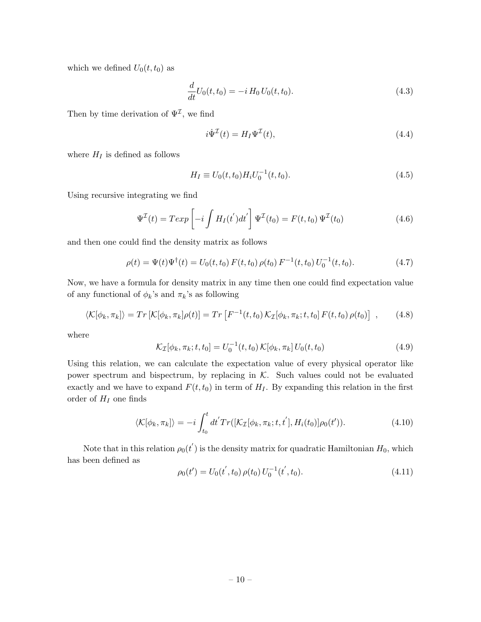which we defined  $U_0(t, t_0)$  as

$$
\frac{d}{dt}U_0(t,t_0) = -i H_0 U_0(t,t_0).
$$
\n(4.3)

Then by time derivation of  $\Psi^{\mathcal{I}}$ , we find

$$
i\dot{\Psi}^{\mathcal{I}}(t) = H_I \Psi^{\mathcal{I}}(t),\tag{4.4}
$$

where  $H_I$  is defined as follows

$$
H_I \equiv U_0(t, t_0) H_i U_0^{-1}(t, t_0). \tag{4.5}
$$

Using recursive integrating we find

$$
\Psi^{\mathcal{I}}(t) = T \exp\left[-i \int H_I(t^{'}) dt^{'}\right] \Psi^{\mathcal{I}}(t_0) = F(t, t_0) \Psi^{\mathcal{I}}(t_0)
$$
\n(4.6)

and then one could find the density matrix as follows

$$
\rho(t) = \Psi(t)\Psi^{\dagger}(t) = U_0(t, t_0) F(t, t_0) \rho(t_0) F^{-1}(t, t_0) U_0^{-1}(t, t_0).
$$
\n(4.7)

Now, we have a formula for density matrix in any time then one could find expectation value of any functional of  $\phi_k$ 's and  $\pi_k$ 's as following

$$
\langle \mathcal{K}[\phi_k, \pi_k] \rangle = Tr \left[ \mathcal{K}[\phi_k, \pi_k] \rho(t) \right] = Tr \left[ F^{-1}(t, t_0) \mathcal{K}_{\mathcal{I}}[\phi_k, \pi_k; t, t_0] \, F(t, t_0) \, \rho(t_0) \right] \;, \tag{4.8}
$$

where

<span id="page-10-0"></span>
$$
\mathcal{K}_{\mathcal{I}}[\phi_k, \pi_k; t, t_0] = U_0^{-1}(t, t_0) \, \mathcal{K}[\phi_k, \pi_k] \, U_0(t, t_0) \tag{4.9}
$$

Using this relation, we can calculate the expectation value of every physical operator like power spectrum and bispectrum, by replacing in  $K$ . Such values could not be evaluated exactly and we have to expand  $F(t, t_0)$  in term of  $H_I$ . By expanding this relation in the first order of  $H_I$  one finds

$$
\langle \mathcal{K}[\phi_k, \pi_k] \rangle = -i \int_{t_0}^t dt' Tr([\mathcal{K}_{\mathcal{I}}[\phi_k, \pi_k; t, t'], H_i(t_0)] \rho_0(t')). \qquad (4.10)
$$

Note that in this relation  $\rho_0(t')$  is the density matrix for quadratic Hamiltonian  $H_0$ , which has been defined as

$$
\rho_0(t') = U_0(t', t_0) \rho(t_0) U_0^{-1}(t', t_0).
$$
\n(4.11)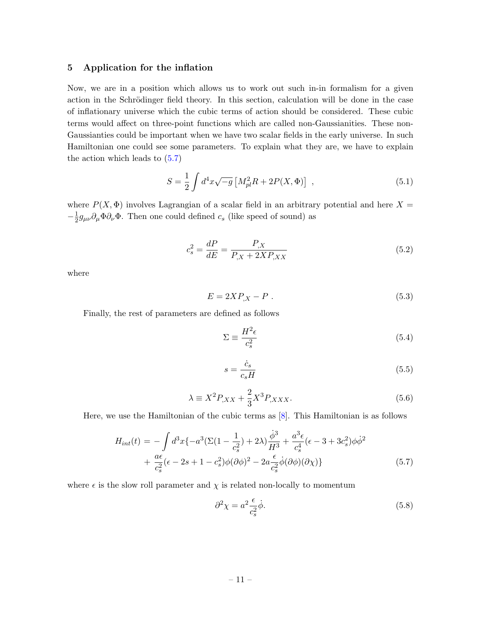#### <span id="page-11-0"></span>5 Application for the inflation

Now, we are in a position which allows us to work out such in-in formalism for a given action in the Schrödinger field theory. In this section, calculation will be done in the case of inflationary universe which the cubic terms of action should be considered. These cubic terms would affect on three-point functions which are called non-Gaussianities. These non-Gaussianties could be important when we have two scalar fields in the early universe. In such Hamiltonian one could see some parameters. To explain what they are, we have to explain the action which leads to [\(5.7\)](#page-11-2)

<span id="page-11-1"></span>
$$
S = \frac{1}{2} \int d^4x \sqrt{-g} \left[ M_{pl}^2 R + 2P(X, \Phi) \right] , \qquad (5.1)
$$

where  $P(X, \Phi)$  involves Lagrangian of a scalar field in an arbitrary potential and here X =  $-\frac{1}{2}$  $\frac{1}{2}g_{\mu\nu}\partial_{\mu}\Phi\partial_{\nu}\Phi$ . Then one could defined  $c_s$  (like speed of sound) as

$$
c_s^2 = \frac{dP}{dE} = \frac{P_{,X}}{P_{,X} + 2XP_{,XX}}\tag{5.2}
$$

where

$$
E = 2XP_{,X} - P \tag{5.3}
$$

Finally, the rest of parameters are defined as follows

$$
\Sigma \equiv \frac{H^2 \epsilon}{c_s^2} \tag{5.4}
$$

$$
s = \frac{\dot{c}_s}{c_s H} \tag{5.5}
$$

$$
\lambda \equiv X^2 P_{,XX} + \frac{2}{3} X^3 P_{,XXX}.\tag{5.6}
$$

Here, we use the Hamiltonian of the cubic terms as [\[8\]](#page-19-9). This Hamiltonian is as follows

<span id="page-11-2"></span>
$$
H_{int}(t) = -\int d^{3}x \{-a^{3}(\Sigma(1-\frac{1}{c_{s}^{2}})+2\lambda)\frac{\dot{\phi}^{3}}{H^{3}} + \frac{a^{3}\epsilon}{c_{s}^{4}}(\epsilon-3+3c_{s}^{2})\phi\dot{\phi}^{2} + \frac{a\epsilon}{c_{s}^{2}}(\epsilon-2s+1-c_{s}^{2})\phi(\partial\phi)^{2} - 2a\frac{\epsilon}{c_{s}^{2}}\dot{\phi}(\partial\phi)(\partial\chi)\}
$$
(5.7)

where  $\epsilon$  is the slow roll parameter and  $\chi$  is related non-locally to momentum

$$
\partial^2 \chi = a^2 \frac{\epsilon}{c_s^2} \dot{\phi}.\tag{5.8}
$$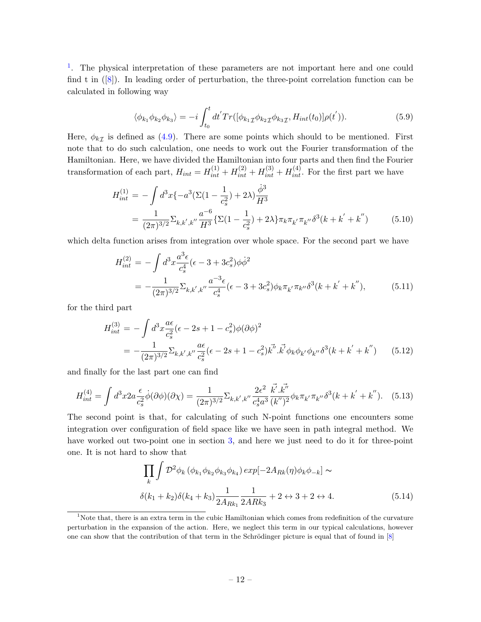<sup>[1](#page-12-0)</sup>. The physical interpretation of these parameters are not important here and one could find t in  $([8])$  $([8])$  $([8])$ . In leading order of perturbation, the three-point correlation function can be calculated in following way

$$
\langle \phi_{k_1} \phi_{k_2} \phi_{k_3} \rangle = -i \int_{t_0}^t dt' Tr([\phi_{k_1} \phi_{k_2} \phi_{k_3} \tau, H_{int}(t_0)] \rho(t') ). \tag{5.9}
$$

Here,  $\phi_{k\mathcal{I}}$  is defined as [\(4.9\)](#page-10-0). There are some points which should to be mentioned. First note that to do such calculation, one needs to work out the Fourier transformation of the Hamiltonian. Here, we have divided the Hamiltonian into four parts and then find the Fourier transformation of each part,  $H_{int} = H_{int}^{(1)} + H_{int}^{(2)} + H_{int}^{(3)} + H_{int}^{(4)}$ . For the first part we have

$$
H_{int}^{(1)} = -\int d^3x \{-a^3(\Sigma(1 - \frac{1}{c_s^2}) + 2\lambda)\frac{\dot{\phi}^3}{H^3}
$$
  
= 
$$
\frac{1}{(2\pi)^{3/2}} \Sigma_{k,k',k''} \frac{a^{-6}}{H^3} {\{\Sigma(1 - \frac{1}{c_s^2}) + 2\lambda\} \pi_k \pi_{k'} \pi_{k''} \delta^3(k + k' + k'')}
$$
 (5.10)

which delta function arises from integration over whole space. For the second part we have

$$
H_{int}^{(2)} = -\int d^3x \frac{a^3 \epsilon}{c_s^4} (\epsilon - 3 + 3c_s^2) \phi \dot{\phi}^2
$$
  
= 
$$
-\frac{1}{(2\pi)^{3/2}} \Sigma_{k,k',k''} \frac{a^{-3} \epsilon}{c_s^4} (\epsilon - 3 + 3c_s^2) \phi_k \pi_{k'} \pi_{k''} \delta^3(k + k' + k''),
$$
 (5.11)

for the third part

$$
H_{int}^{(3)} = -\int d^3x \frac{a\epsilon}{c_s^2} (\epsilon - 2s + 1 - c_s^2) \phi(\partial \phi)^2
$$
  
= 
$$
-\frac{1}{(2\pi)^{3/2}} \Sigma_{k,k',k''} \frac{a\epsilon}{c_s^2} (\epsilon - 2s + 1 - c_s^2) k^{k'} . \vec{k'} \phi_k \phi_{k'} \phi_{k''} \delta^3(k + k' + k'')
$$
(5.12)

and finally for the last part one can find

$$
H_{int}^{(4)} = \int d^3x 2a \frac{\epsilon}{c_s^2} \dot{\phi}(\partial \phi)(\partial \chi) = \frac{1}{(2\pi)^{3/2}} \Sigma_{k,k',k''} \frac{2\epsilon^2}{c_s^4 a^3} \frac{\vec{k'.\vec{k''}}}{(k'')^2} \phi_k \pi_{k'} \pi_{k''} \delta^3(k + k' + k''). \quad (5.13)
$$

The second point is that, for calculating of such N-point functions one encounters some integration over configuration of field space like we have seen in path integral method. We have worked out two-point one in section [3,](#page-6-0) and here we just need to do it for three-point one. It is not hard to show that

$$
\prod_{k} \int \mathcal{D}^{2} \phi_{k} \left( \phi_{k_{1}} \phi_{k_{2}} \phi_{k_{3}} \phi_{k_{4}} \right) \exp[-2A_{Rk}(\eta) \phi_{k} \phi_{-k}] \sim
$$
  

$$
\delta(k_{1} + k_{2}) \delta(k_{4} + k_{3}) \frac{1}{2A_{Rk_{1}}} \frac{1}{2ARk_{3}} + 2 \leftrightarrow 3 + 2 \leftrightarrow 4.
$$
 (5.14)

<span id="page-12-0"></span><sup>&</sup>lt;sup>1</sup>Note that, there is an extra term in the cubic Hamiltonian which comes from redefinition of the curvature perturbation in the expansion of the action. Here, we neglect this term in our typical calculations, however one can show that the contribution of that term in the Schrödinger picture is equal that of found in  $[8]$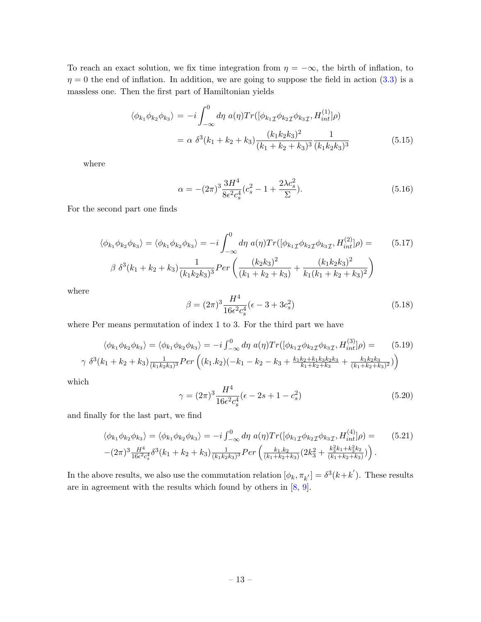To reach an exact solution, we fix time integration from  $\eta = -\infty$ , the birth of inflation, to  $\eta = 0$  the end of inflation. In addition, we are going to suppose the field in action [\(3.3\)](#page-6-1) is a massless one. Then the first part of Hamiltonian yields

$$
\langle \phi_{k_1} \phi_{k_2} \phi_{k_3} \rangle = -i \int_{-\infty}^0 d\eta \ a(\eta) Tr([\phi_{k_1} \phi_{k_2} \phi_{k_3} f, H_{int}^{(1)}] \rho)
$$
  

$$
= \alpha \ \delta^3 (k_1 + k_2 + k_3) \frac{(k_1 k_2 k_3)^2}{(k_1 + k_2 + k_3)^3} \frac{1}{(k_1 k_2 k_3)^3}
$$
(5.15)

where

$$
\alpha = -(2\pi)^3 \frac{3H^4}{8\epsilon^2 c_s^4} (c_s^2 - 1 + \frac{2\lambda c_s^2}{\Sigma}).
$$
\n(5.16)

For the second part one finds

$$
\langle \phi_{k_1} \phi_{k_2} \phi_{k_3} \rangle = \langle \phi_{k_1} \phi_{k_2} \phi_{k_3} \rangle = -i \int_{-\infty}^0 d\eta \ a(\eta) Tr([\phi_{k_1} \phi_{k_2} \phi_{k_3} \tau, H_{int}^{(2)}] \rho) = \qquad (5.17)
$$
  

$$
\beta \ \delta^3(k_1 + k_2 + k_3) \frac{1}{(k_1 k_2 k_3)^3} Per\left(\frac{(k_2 k_3)^2}{(k_1 + k_2 + k_3)} + \frac{(k_1 k_2 k_3)^2}{k_1 (k_1 + k_2 + k_3)^2}\right)
$$

where

$$
\beta = (2\pi)^3 \frac{H^4}{16\epsilon^2 c_s^4} (\epsilon - 3 + 3c_s^2)
$$
\n(5.18)

where Per means permutation of index 1 to 3. For the third part we have

$$
\langle \phi_{k_1} \phi_{k_2} \phi_{k_3} \rangle = \langle \phi_{k_1} \phi_{k_2} \phi_{k_3} \rangle = -i \int_{-\infty}^0 d\eta \ a(\eta) Tr([\phi_{k_1} \phi_{k_2} \phi_{k_3} f, H_{int}^{(3)}] \rho) = \n\begin{pmatrix} 5.19 \\ \gamma \ \delta^3 (k_1 + k_2 + k_3) \frac{1}{(k_1 k_2 k_3)^3} Per \left( (k_1 \cdot k_2)(-k_1 - k_2 - k_3 + \frac{k_1 k_2 + k_1 k_3 k_2 k_3}{k_1 + k_2 + k_3} + \frac{k_1 k_2 k_3}{(k_1 + k_2 + k_3)^2} ) \right) \n\end{pmatrix}
$$

which

$$
\gamma = (2\pi)^3 \frac{H^4}{16\epsilon^2 c_s^4} (\epsilon - 2s + 1 - c_s^2)
$$
\n(5.20)

and finally for the last part, we find

$$
\langle \phi_{k_1} \phi_{k_2} \phi_{k_3} \rangle = \langle \phi_{k_1} \phi_{k_2} \phi_{k_3} \rangle = -i \int_{-\infty}^0 d\eta \ a(\eta) Tr([\phi_{k_1} \phi_{k_2} \phi_{k_3}^{\mathcal{I}}, H_{int}^{(4)}] \rho) = \qquad (5.21)
$$

$$
-(2\pi)^3 \frac{H^4}{16\epsilon^2 c_s^4} \delta^3(k_1 + k_2 + k_3) \frac{1}{(k_1 k_2 k_3)^3} Per\left(\frac{k_1 \cdot k_2}{(k_1 + k_2 + k_3)} (2k_3^2 + \frac{k_3^2 k_1 + k_3^2 k_2}{(k_1 + k_2 + k_3)})\right).
$$

In the above results, we also use the commutation relation  $[\phi_k, \pi_{k'}] = \delta^3(k+k')$ . These results are in agreement with the results which found by others in [\[8,](#page-19-9) [9\]](#page-19-8).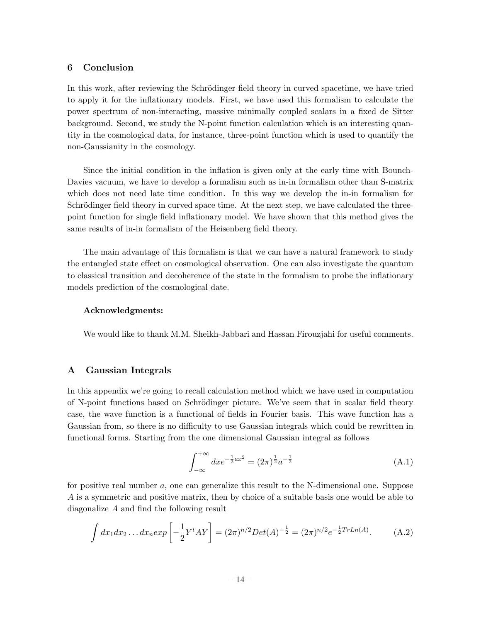#### <span id="page-14-0"></span>6 Conclusion

In this work, after reviewing the Schrödinger field theory in curved spacetime, we have tried to apply it for the inflationary models. First, we have used this formalism to calculate the power spectrum of non-interacting, massive minimally coupled scalars in a fixed de Sitter background. Second, we study the N-point function calculation which is an interesting quantity in the cosmological data, for instance, three-point function which is used to quantify the non-Gaussianity in the cosmology.

Since the initial condition in the inflation is given only at the early time with Bounch-Davies vacuum, we have to develop a formalism such as in-in formalism other than S-matrix which does not need late time condition. In this way we develop the in-in formalism for Schrödinger field theory in curved space time. At the next step, we have calculated the threepoint function for single field inflationary model. We have shown that this method gives the same results of in-in formalism of the Heisenberg field theory.

The main advantage of this formalism is that we can have a natural framework to study the entangled state effect on cosmological observation. One can also investigate the quantum to classical transition and decoherence of the state in the formalism to probe the inflationary models prediction of the cosmological date.

#### Acknowledgments:

We would like to thank M.M. Sheikh-Jabbari and Hassan Firouzjahi for useful comments.

#### <span id="page-14-1"></span>A Gaussian Integrals

In this appendix we're going to recall calculation method which we have used in computation of N-point functions based on Schrödinger picture. We've seem that in scalar field theory case, the wave function is a functional of fields in Fourier basis. This wave function has a Gaussian from, so there is no difficulty to use Gaussian integrals which could be rewritten in functional forms. Starting from the one dimensional Gaussian integral as follows

$$
\int_{-\infty}^{+\infty} dx e^{-\frac{1}{2}ax^2} = (2\pi)^{\frac{1}{2}} a^{-\frac{1}{2}}
$$
\n(A.1)

for positive real number a, one can generalize this result to the N-dimensional one. Suppose A is a symmetric and positive matrix, then by choice of a suitable basis one would be able to diagonalize A and find the following result

$$
\int dx_1 dx_2 \dots dx_n \exp\left[-\frac{1}{2}Y^t A Y\right] = (2\pi)^{n/2} Det(A)^{-\frac{1}{2}} = (2\pi)^{n/2} e^{-\frac{1}{2}TrLn(A)}.
$$
 (A.2)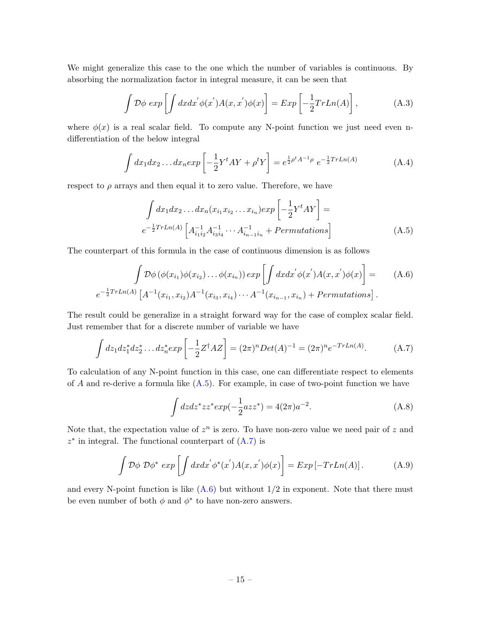We might generalize this case to the one which the number of variables is continuous. By absorbing the normalization factor in integral measure, it can be seen that

$$
\int \mathcal{D}\phi \, \exp\left[\int dx dx' \phi(x')A(x,x')\phi(x)\right] = \mathbb{E}xp\left[-\frac{1}{2}TrLn(A)\right],\tag{A.3}
$$

where  $\phi(x)$  is a real scalar field. To compute any N-point function we just need even ndifferentiation of the below integral

$$
\int dx_1 dx_2 \dots dx_n \exp\left[-\frac{1}{2}Y^t A Y + \rho^t Y\right] = e^{\frac{1}{2}\rho^t A^{-1} \rho} e^{-\frac{1}{2}TrLn(A)} \tag{A.4}
$$

respect to  $\rho$  arrays and then equal it to zero value. Therefore, we have

<span id="page-15-0"></span>
$$
\int dx_1 dx_2 \dots dx_n (x_{i_1} x_{i_2} \dots x_{i_n}) exp\left[-\frac{1}{2} Y^t A Y\right] =
$$
\n
$$
e^{-\frac{1}{2} Tr L n(A)} \left[A_{i_1 i_2}^{-1} A_{i_3 i_4}^{-1} \dots A_{i_{n-1} i_n}^{-1} + Permutations\right]
$$
\n(A.5)

The counterpart of this formula in the case of continuous dimension is as follows

<span id="page-15-2"></span>
$$
\int \mathcal{D}\phi\left(\phi(x_{i_1})\phi(x_{i_2})\dots\phi(x_{i_n})\right)exp\left[\int dx dx' \phi(x')A(x,x')\phi(x)\right] = (A.6)
$$

$$
e^{-\frac{1}{2}TrLn(A)}\left[A^{-1}(x_{i_1},x_{i_2})A^{-1}(x_{i_3},x_{i_4})\dots A^{-1}(x_{i_{n-1}},x_{i_n}) + Permutations\right].
$$

The result could be generalize in a straight forward way for the case of complex scalar field. Just remember that for a discrete number of variable we have

<span id="page-15-1"></span>
$$
\int dz_1 dz_1^* dz_2^* \dots dz_n^* exp\left[-\frac{1}{2}Z^{\dagger} AZ\right] = (2\pi)^n Det(A)^{-1} = (2\pi)^n e^{-TrLn(A)}.
$$
 (A.7)

To calculation of any N-point function in this case, one can differentiate respect to elements of A and re-derive a formula like  $(A.5)$ . For example, in case of two-point function we have

$$
\int dz dz^* z z^* exp(-\frac{1}{2}az z^*) = 4(2\pi)a^{-2}.
$$
\n(A.8)

Note that, the expectation value of  $z^n$  is zero. To have non-zero value we need pair of z and  $z^*$  in integral. The functional counterpart of  $(A.7)$  is

$$
\int \mathcal{D}\phi \; \mathcal{D}\phi^* \; exp\left[\int dx dx' \phi^*(x')A(x,x')\phi(x)\right] = Exp\left[-TrLn(A)\right]. \tag{A.9}
$$

and every N-point function is like  $(A.6)$  but without  $1/2$  in exponent. Note that there must be even number of both  $\phi$  and  $\phi^*$  to have non-zero answers.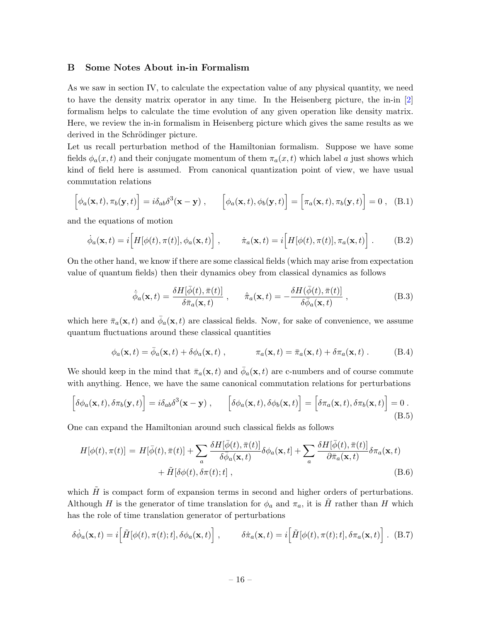#### <span id="page-16-0"></span>B Some Notes About in-in Formalism

As we saw in section IV, to calculate the expectation value of any physical quantity, we need to have the density matrix operator in any time. In the Heisenberg picture, the in-in [\[2\]](#page-19-1) formalism helps to calculate the time evolution of any given operation like density matrix. Here, we review the in-in formalism in Heisenberg picture which gives the same results as we derived in the Schrödinger picture.

Let us recall perturbation method of the Hamiltonian formalism. Suppose we have some fields  $\phi_a(x,t)$  and their conjugate momentum of them  $\pi_a(x,t)$  which label a just shows which kind of field here is assumed. From canonical quantization point of view, we have usual commutation relations

$$
\left[\phi_a(\mathbf{x},t),\pi_b(\mathbf{y},t)\right] = i\delta_{ab}\delta^3(\mathbf{x}-\mathbf{y})\,,\qquad \left[\phi_a(\mathbf{x},t),\phi_b(\mathbf{y},t)\right] = \left[\pi_a(\mathbf{x},t),\pi_b(\mathbf{y},t)\right] = 0\,,\tag{B.1}
$$

and the equations of motion

$$
\dot{\phi}_a(\mathbf{x},t) = i \Big[ H[\phi(t), \pi(t)], \phi_a(\mathbf{x},t) \Big], \qquad \dot{\pi}_a(\mathbf{x},t) = i \Big[ H[\phi(t), \pi(t)], \pi_a(\mathbf{x},t) \Big]. \tag{B.2}
$$

On the other hand, we know if there are some classical fields (which may arise from expectation value of quantum fields) then their dynamics obey from classical dynamics as follows

$$
\dot{\bar{\phi}}_a(\mathbf{x},t) = \frac{\delta H[\bar{\phi}(t), \bar{\pi}(t)]}{\delta \bar{\pi}_a(\mathbf{x},t)} , \qquad \dot{\bar{\pi}}_a(\mathbf{x},t) = -\frac{\delta H(\bar{\phi}(t), \bar{\pi}(t)]}{\delta \bar{\phi}_a(\mathbf{x},t)} ,
$$
(B.3)

which here  $\bar{\pi}_a(\mathbf{x}, t)$  and  $\bar{\phi}_a(\mathbf{x}, t)$  are classical fields. Now, for sake of convenience, we assume quantum fluctuations around these classical quantities

$$
\phi_a(\mathbf{x},t) = \bar{\phi}_a(\mathbf{x},t) + \delta\phi_a(\mathbf{x},t) , \qquad \pi_a(\mathbf{x},t) = \bar{\pi}_a(\mathbf{x},t) + \delta\pi_a(\mathbf{x},t) . \tag{B.4}
$$

We should keep in the mind that  $\bar{\pi}_a(\mathbf{x}, t)$  and  $\bar{\phi}_a(\mathbf{x}, t)$  are c-numbers and of course commute with anything. Hence, we have the same canonical commutation relations for perturbations

$$
\left[\delta\phi_a(\mathbf{x},t),\delta\pi_b(\mathbf{y},t)\right] = i\delta_{ab}\delta^3(\mathbf{x}-\mathbf{y})\;, \qquad \left[\delta\phi_a(\mathbf{x},t),\delta\phi_b(\mathbf{x},t)\right] = \left[\delta\pi_a(\mathbf{x},t),\delta\pi_b(\mathbf{x},t)\right] = 0\;.
$$
\n(B.5)

One can expand the Hamiltonian around such classical fields as follows

$$
H[\phi(t), \pi(t)] = H[\bar{\phi}(t), \bar{\pi}(t)] + \sum_{a} \frac{\delta H[\bar{\phi}(t), \bar{\pi}(t)]}{\delta \bar{\phi}_a(\mathbf{x}, t)} \delta \phi_a(\mathbf{x}, t) + \sum_{a} \frac{\delta H[\bar{\phi}(t), \bar{\pi}(t)]}{\partial \bar{\pi}_a(\mathbf{x}, t)} \delta \pi_a(\mathbf{x}, t) + \tilde{H}[\delta \phi(t), \delta \pi(t); t],
$$
\n(B.6)

which  $\tilde{H}$  is compact form of expansion terms in second and higher orders of perturbations. Although H is the generator of time translation for  $\phi_a$  and  $\pi_a$ , it is H rather than H which has the role of time translation generator of perturbations

<span id="page-16-1"></span>
$$
\delta\dot{\phi}_a(\mathbf{x},t) = i \Big[ \tilde{H}[\phi(t),\pi(t);t], \delta\phi_a(\mathbf{x},t) \Big] , \qquad \delta\dot{\pi}_a(\mathbf{x},t) = i \Big[ \tilde{H}[\phi(t),\pi(t);t], \delta\pi_a(\mathbf{x},t) \Big] . \tag{B.7}
$$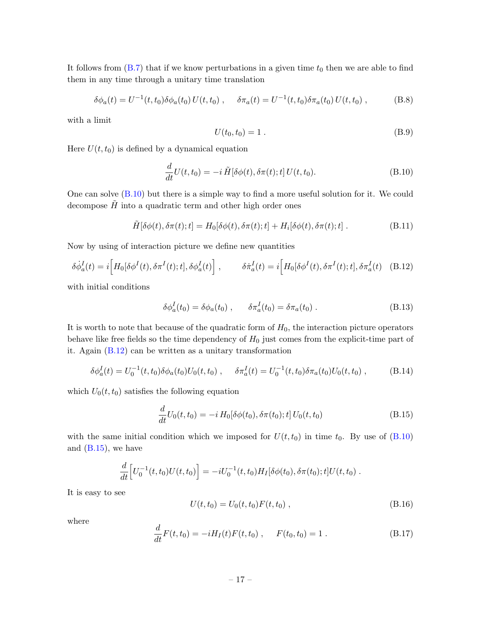It follows from  $(B.7)$  that if we know perturbations in a given time  $t_0$  then we are able to find them in any time through a unitary time translation

$$
\delta\phi_a(t) = U^{-1}(t, t_0)\delta\phi_a(t_0) U(t, t_0) , \quad \delta\pi_a(t) = U^{-1}(t, t_0)\delta\pi_a(t_0) U(t, t_0) , \quad (B.8)
$$

with a limit

$$
U(t_0, t_0) = 1.
$$
 (B.9)

Here  $U(t, t_0)$  is defined by a dynamical equation

<span id="page-17-0"></span>
$$
\frac{d}{dt}U(t,t_0) = -i\,\tilde{H}[\delta\phi(t), \delta\pi(t); t]U(t,t_0). \tag{B.10}
$$

One can solve  $(B.10)$  but there is a simple way to find a more useful solution for it. We could decompose  $\tilde{H}$  into a quadratic term and other high order ones

$$
\tilde{H}[\delta\phi(t), \delta\pi(t); t] = H_0[\delta\phi(t), \delta\pi(t); t] + H_i[\delta\phi(t), \delta\pi(t); t]. \tag{B.11}
$$

Now by using of interaction picture we define new quantities

<span id="page-17-1"></span>
$$
\delta \dot{\phi}_a^I(t) = i \Big[ H_0[\delta \phi^I(t), \delta \pi^I(t); t], \delta \phi_a^I(t) \Big] , \qquad \delta \dot{\pi}_a^I(t) = i \Big[ H_0[\delta \phi^I(t), \delta \pi^I(t); t], \delta \pi_a^I(t) \quad (B.12)
$$

with initial conditions

$$
\delta \phi_a^I(t_0) = \delta \phi_a(t_0) , \qquad \delta \pi_a^I(t_0) = \delta \pi_a(t_0) . \tag{B.13}
$$

It is worth to note that because of the quadratic form of  $H_0$ , the interaction picture operators behave like free fields so the time dependency of  $H_0$  just comes from the explicit-time part of it. Again [\(B.12\)](#page-17-1) can be written as a unitary transformation

$$
\delta \phi_a^I(t) = U_0^{-1}(t, t_0) \delta \phi_a(t_0) U_0(t, t_0) , \quad \delta \pi_a^I(t) = U_0^{-1}(t, t_0) \delta \pi_a(t_0) U_0(t, t_0) , \quad (B.14)
$$

which  $U_0(t, t_0)$  satisfies the following equation

<span id="page-17-2"></span>
$$
\frac{d}{dt}U_0(t,t_0) = -i H_0[\delta\phi(t_0), \delta\pi(t_0); t] U_0(t,t_0)
$$
\n(B.15)

with the same initial condition which we imposed for  $U(t, t_0)$  in time  $t_0$ . By use of [\(B.10\)](#page-17-0) and  $(B.15)$ , we have

$$
\frac{d}{dt}\Big[U_0^{-1}(t,t_0)U(t,t_0)\Big] = -iU_0^{-1}(t,t_0)H_I[\delta\phi(t_0),\delta\pi(t_0);t]U(t,t_0).
$$

It is easy to see

$$
U(t, t_0) = U_0(t, t_0) F(t, t_0) , \qquad (B.16)
$$

where

$$
\frac{d}{dt}F(t,t_0) = -iH_I(t)F(t,t_0) , \quad F(t_0,t_0) = 1 . \tag{B.17}
$$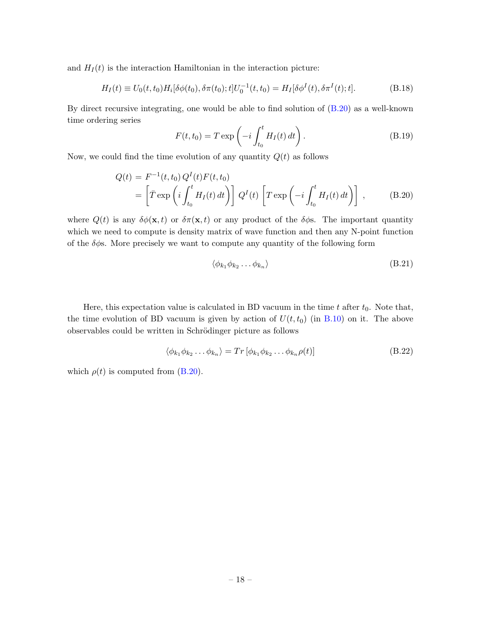and  $H_I(t)$  is the interaction Hamiltonian in the interaction picture:

$$
H_I(t) \equiv U_0(t, t_0) H_i[\delta \phi(t_0), \delta \pi(t_0); t] U_0^{-1}(t, t_0) = H_I[\delta \phi^I(t), \delta \pi^I(t); t].
$$
\n(B.18)

By direct recursive integrating, one would be able to find solution of [\(B.20\)](#page-18-0) as a well-known time ordering series

$$
F(t,t_0) = T \exp\left(-i \int_{t_0}^t H_I(t) dt\right).
$$
 (B.19)

Now, we could find the time evolution of any quantity  $Q(t)$  as follows

<span id="page-18-0"></span>
$$
Q(t) = F^{-1}(t, t_0) Q^{I}(t) F(t, t_0)
$$
  
= 
$$
\left[ \bar{T} \exp \left( i \int_{t_0}^t H_I(t) dt \right) \right] Q^{I}(t) \left[ T \exp \left( -i \int_{t_0}^t H_I(t) dt \right) \right],
$$
 (B.20)

where  $Q(t)$  is any  $\delta\phi(\mathbf{x}, t)$  or  $\delta\pi(\mathbf{x}, t)$  or any product of the  $\delta\phi$ s. The important quantity which we need to compute is density matrix of wave function and then any N-point function of the  $\delta\phi$ s. More precisely we want to compute any quantity of the following form

$$
\langle \phi_{k_1} \phi_{k_2} \dots \phi_{k_n} \rangle \tag{B.21}
$$

Here, this expectation value is calculated in BD vacuum in the time  $t$  after  $t_0$ . Note that, the time evolution of BD vacuum is given by action of  $U(t, t_0)$  (in [B.10\)](#page-17-0) on it. The above observables could be written in Schrödinger picture as follows

$$
\langle \phi_{k_1} \phi_{k_2} \dots \phi_{k_n} \rangle = Tr \left[ \phi_{k_1} \phi_{k_2} \dots \phi_{k_n} \rho(t) \right]
$$
\n(B.22)

which  $\rho(t)$  is computed from [\(B.20\)](#page-18-0).